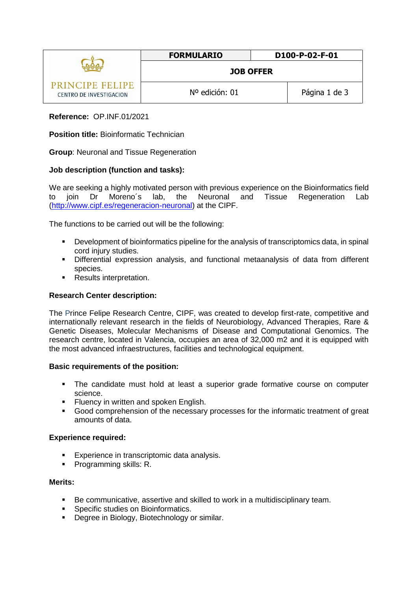|                                            | <b>FORMULARIO</b> | D100-P-02-F-01 |
|--------------------------------------------|-------------------|----------------|
|                                            | <b>JOB OFFER</b>  |                |
| PRINCIPE FELIPE<br>CENTRO DE INVESTIGACION | Nº edición: 01    | Página 1 de 3  |

# **Reference:** OP.INF.01/2021

**Position title:** Bioinformatic Technician

**Group**: Neuronal and Tissue Regeneration

### **Job description (function and tasks):**

We are seeking a highly motivated person with previous experience on the Bioinformatics field to join Dr Moreno´s lab, the Neuronal and Tissue Regeneration Lab [\(http://www.cipf.es/regeneracion-neuronal\)](http://www.cipf.es/regeneracion-neuronal) at the CIPF.

The functions to be carried out will be the following:

- Development of bioinformatics pipeline for the analysis of transcriptomics data, in spinal cord injury studies.
- Differential expression analysis, and functional metaanalysis of data from different species.
- **Results interpretation.**

### **Research Center description:**

The Prince Felipe Research Centre, CIPF, was created to develop first-rate, competitive and internationally relevant research in the fields of Neurobiology, Advanced Therapies, Rare & Genetic Diseases, Molecular Mechanisms of Disease and Computational Genomics. The research centre, located in Valencia, occupies an area of 32,000 m2 and it is equipped with the most advanced infraestructures, facilities and technological equipment.

### **Basic requirements of the position:**

- The candidate must hold at least a superior grade formative course on computer science.
- **Filuency in written and spoken English.**
- Good comprehension of the necessary processes for the informatic treatment of great amounts of data.

### **Experience required:**

- Experience in transcriptomic data analysis.
- **Programming skills: R.**

### **Merits:**

- Be communicative, assertive and skilled to work in a multidisciplinary team.
- **Specific studies on Bioinformatics.**
- **-** Degree in Biology, Biotechnology or similar.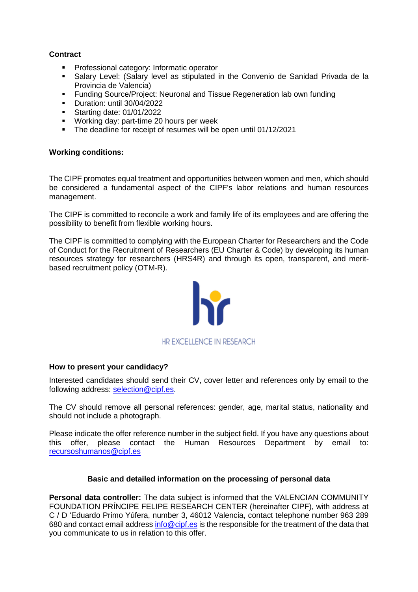# **Contract**

- Professional category: Informatic operator
- Salary Level: (Salary level as stipulated in the Convenio de Sanidad Privada de la Provincia de Valencia)
- Funding Source/Project: Neuronal and Tissue Regeneration lab own funding
- Duration: until 30/04/2022
- **Starting date: 01/01/2022**
- **Working day: part-time 20 hours per week**
- The deadline for receipt of resumes will be open until 01/12/2021

### **Working conditions:**

The CIPF promotes equal treatment and opportunities between women and men, which should be considered a fundamental aspect of the CIPF's labor relations and human resources management.

The CIPF is committed to reconcile a work and family life of its employees and are offering the possibility to benefit from flexible working hours.

The CIPF is committed to complying with the European Charter for Researchers and the Code of Conduct for the Recruitment of Researchers (EU Charter & Code) by developing its human resources strategy for researchers (HRS4R) and through its open, transparent, and meritbased recruitment policy [\(OTM-R\)](https://euraxess.ec.europa.eu/europe/news/new-open-transparent-and-merit-based-recruitment-researchers-otm-r).



### **How to present your candidacy?**

Interested candidates should send their CV, cover letter and references only by email to the following address: [selection@cipf.es.](mailto:selection@cipf.es)

The CV should remove all personal references: gender, age, marital status, nationality and should not include a photograph.

Please indicate the offer reference number in the subject field. If you have any questions about this offer, please contact the Human Resources Department by email to: [recursoshumanos@cipf.es](mailto:recursoshumanos@cipf.es)

### **Basic and detailed information on the processing of personal data**

**Personal data controller:** The data subject is informed that the VALENCIAN COMMUNITY FOUNDATION PRÍNCIPE FELIPE RESEARCH CENTER (hereinafter CIPF), with address at C / D 'Eduardo Primo Yúfera, number 3, 46012 Valencia, contact telephone number 963 289 680 and contact email addres[s info@cipf.es](mailto:info@cipf.es) is the responsible for the treatment of the data that you communicate to us in relation to this offer.